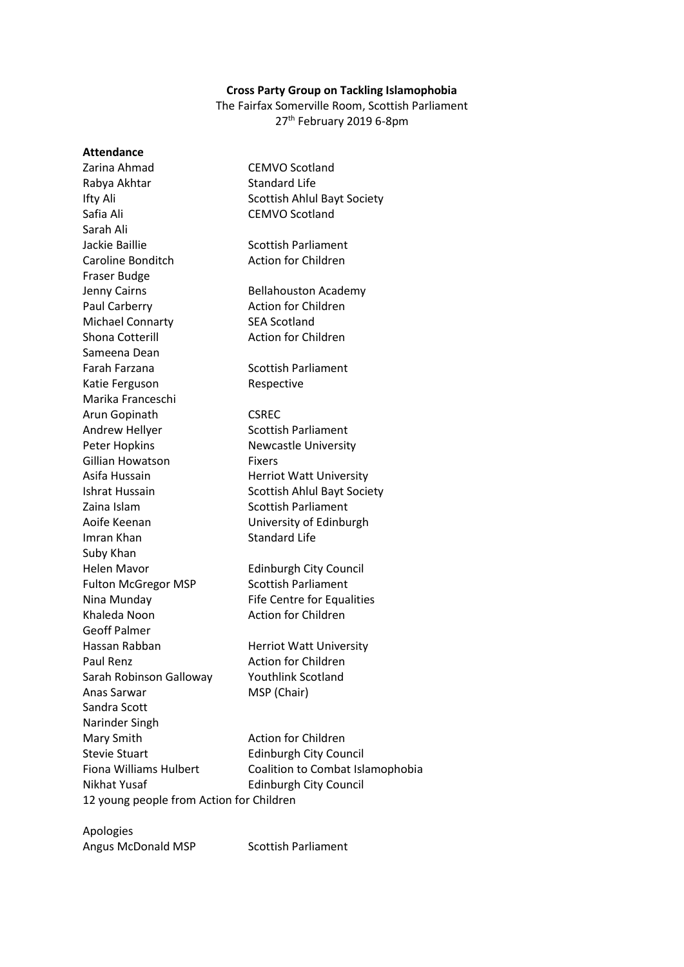## **Cross Party Group on Tackling Islamophobia**

The Fairfax Somerville Room, Scottish Parliament 27<sup>th</sup> February 2019 6-8pm

| <b>Attendance</b>                        |                                    |
|------------------------------------------|------------------------------------|
| Zarina Ahmad                             | <b>CEMVO Scotland</b>              |
| Rabya Akhtar                             | <b>Standard Life</b>               |
| Ifty Ali                                 | Scottish Ahlul Bayt Society        |
| Safia Ali                                | <b>CEMVO Scotland</b>              |
| Sarah Ali                                |                                    |
| Jackie Baillie                           | <b>Scottish Parliament</b>         |
| Caroline Bonditch                        | <b>Action for Children</b>         |
| <b>Fraser Budge</b>                      |                                    |
| Jenny Cairns                             | <b>Bellahouston Academy</b>        |
| Paul Carberry                            | <b>Action for Children</b>         |
| <b>Michael Connarty</b>                  | <b>SEA Scotland</b>                |
| Shona Cotterill                          | <b>Action for Children</b>         |
| Sameena Dean                             |                                    |
| Farah Farzana                            | <b>Scottish Parliament</b>         |
| Katie Ferguson                           | Respective                         |
| Marika Franceschi                        |                                    |
| Arun Gopinath                            | <b>CSREC</b>                       |
| Andrew Hellyer                           | <b>Scottish Parliament</b>         |
| <b>Peter Hopkins</b>                     | <b>Newcastle University</b>        |
| Gillian Howatson                         | Fixers                             |
| Asifa Hussain                            | <b>Herriot Watt University</b>     |
| Ishrat Hussain                           | <b>Scottish Ahlul Bayt Society</b> |
| Zaina Islam                              | <b>Scottish Parliament</b>         |
| Aoife Keenan                             | University of Edinburgh            |
| Imran Khan                               | <b>Standard Life</b>               |
| Suby Khan                                |                                    |
| <b>Helen Mavor</b>                       | <b>Edinburgh City Council</b>      |
| <b>Fulton McGregor MSP</b>               | <b>Scottish Parliament</b>         |
| Nina Munday                              | <b>Fife Centre for Equalities</b>  |
| Khaleda Noon                             | <b>Action for Children</b>         |
| <b>Geoff Palmer</b>                      |                                    |
| Hassan Rabban                            | <b>Herriot Watt University</b>     |
| <b>Paul Renz</b>                         | <b>Action for Children</b>         |
| Sarah Robinson Galloway                  | <b>Youthlink Scotland</b>          |
| Anas Sarwar                              | MSP (Chair)                        |
| Sandra Scott                             |                                    |
| Narinder Singh                           |                                    |
| Mary Smith                               | <b>Action for Children</b>         |
| <b>Stevie Stuart</b>                     | <b>Edinburgh City Council</b>      |
| <b>Fiona Williams Hulbert</b>            | Coalition to Combat Islamophobia   |
| Nikhat Yusaf                             | <b>Edinburgh City Council</b>      |
| 12 young people from Action for Children |                                    |
|                                          |                                    |

Apologies Angus McDonald MSP Scottish Parliament